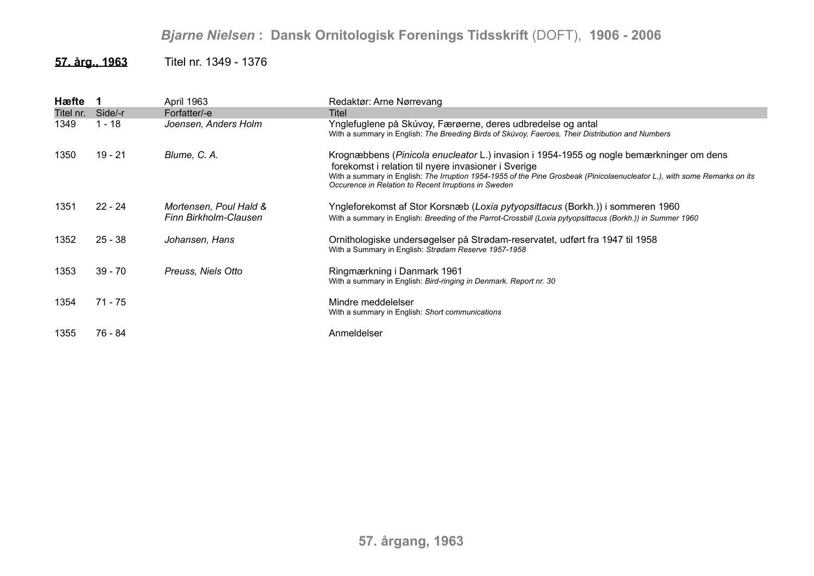## *Bjarne Nielsen* **: Dansk Ornitologisk Forenings Tidsskrift** (DOFT), **1906 - 2006**

## **57. årg., 1963** Titel nr. 1349 - 1376

| Hæfte 1   |           | April 1963                                      | Redaktør: Arne Nørrevang                                                                                                                                                                                                                                                                                                            |
|-----------|-----------|-------------------------------------------------|-------------------------------------------------------------------------------------------------------------------------------------------------------------------------------------------------------------------------------------------------------------------------------------------------------------------------------------|
| Titel nr. | Side/-r   | Forfatter/-e                                    | Titel                                                                                                                                                                                                                                                                                                                               |
| 1349      | 1 - 18    | Joensen, Anders Holm                            | Ynglefuglene på Skúvoy, Færøerne, deres udbredelse og antal<br>With a summary in English: The Breeding Birds of Skúvoy, Faeroes, Their Distribution and Numbers                                                                                                                                                                     |
| 1350      | 19 - 21   | Blume, C. A.                                    | Krognæbbens (Pinicola enucleator L.) invasion i 1954-1955 og nogle bemærkninger om dens<br>forekomst i relation til nyere invasioner i Sverige<br>With a summary in English: The Irruption 1954-1955 of the Pine Grosbeak (Pinicolaenucleator L.), with some Remarks on its<br>Occurence in Relation to Recent Irruptions in Sweden |
| 1351      | $22 - 24$ | Mortensen, Poul Hald &<br>Finn Birkholm-Clausen | Yngleforekomst af Stor Korsnæb (Loxia pytyopsittacus (Borkh.)) i sommeren 1960<br>With a summary in English: Breeding of the Parrot-Crossbill (Loxia pytyopsittacus (Borkh.)) in Summer 1960                                                                                                                                        |
| 1352      | $25 - 38$ | Johansen, Hans                                  | Ornithologiske undersøgelser på Strødam-reservatet, udført fra 1947 til 1958<br>With a Summary in English: Strødam Reserve 1957-1958                                                                                                                                                                                                |
| 1353      | $39 - 70$ | Preuss, Niels Otto                              | Ringmærkning i Danmark 1961<br>With a summary in English: Bird-ringing in Denmark. Report nr. 30                                                                                                                                                                                                                                    |
| 1354      | 71 - 75   |                                                 | Mindre meddelelser<br>With a summary in English: Short communications                                                                                                                                                                                                                                                               |
| 1355      | 76 - 84   |                                                 | Anmeldelser                                                                                                                                                                                                                                                                                                                         |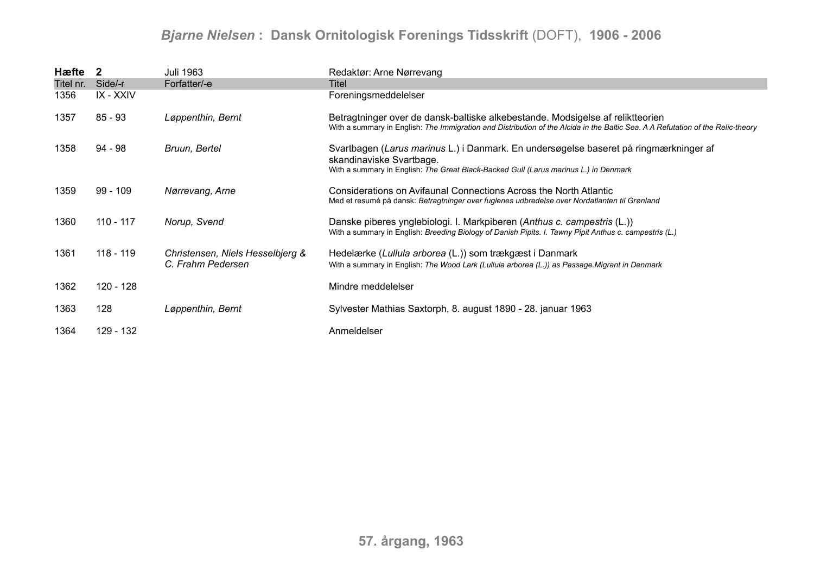## *Bjarne Nielsen* **: Dansk Ornitologisk Forenings Tidsskrift** (DOFT), **1906 - 2006**

| Hæfte 2   |            | Juli 1963                        | Redaktør: Arne Nørrevang                                                                                                                                                                                          |
|-----------|------------|----------------------------------|-------------------------------------------------------------------------------------------------------------------------------------------------------------------------------------------------------------------|
| Titel nr. | Side/-r    | Forfatter/-e                     | Titel                                                                                                                                                                                                             |
| 1356      | IX - XXIV  |                                  | Foreningsmeddelelser                                                                                                                                                                                              |
| 1357      | $85 - 93$  | Løppenthin, Bernt                | Betragtninger over de dansk-baltiske alkebestande. Modsigelse af reliktteorien<br>With a summary in English: The Immigration and Distribution of the Alcida in the Baltic Sea. A A Refutation of the Relic-theory |
| 1358      | 94 - 98    | Bruun, Bertel                    | Svartbagen (Larus marinus L.) i Danmark. En undersøgelse baseret på ringmærkninger af<br>skandinaviske Svartbage.                                                                                                 |
|           |            |                                  | With a summary in English: The Great Black-Backed Gull (Larus marinus L.) in Denmark                                                                                                                              |
| 1359      | $99 - 109$ | Nørrevang, Arne                  | Considerations on Avifaunal Connections Across the North Atlantic<br>Med et resumé på dansk: Betragtninger over fuglenes udbredelse over Nordatlanten til Grønland                                                |
|           |            |                                  |                                                                                                                                                                                                                   |
| 1360      | 110 - 117  | Norup, Svend                     | Danske piberes ynglebiologi. I. Markpiberen (Anthus c. campestris (L.))<br>With a summary in English: Breeding Biology of Danish Pipits. I. Tawny Pipit Anthus c. campestris (L.)                                 |
| 1361      | 118 - 119  | Christensen, Niels Hesselbjerg & | Hedelærke (Lullula arborea (L.)) som trækgæst i Danmark                                                                                                                                                           |
|           |            | C. Frahm Pedersen                | With a summary in English: The Wood Lark (Lullula arborea (L.)) as Passage Migrant in Denmark                                                                                                                     |
| 1362      | 120 - 128  |                                  | Mindre meddelelser                                                                                                                                                                                                |
| 1363      | 128        | Løppenthin, Bernt                | Sylvester Mathias Saxtorph, 8. august 1890 - 28. januar 1963                                                                                                                                                      |
| 1364      | 129 - 132  |                                  | Anmeldelser                                                                                                                                                                                                       |